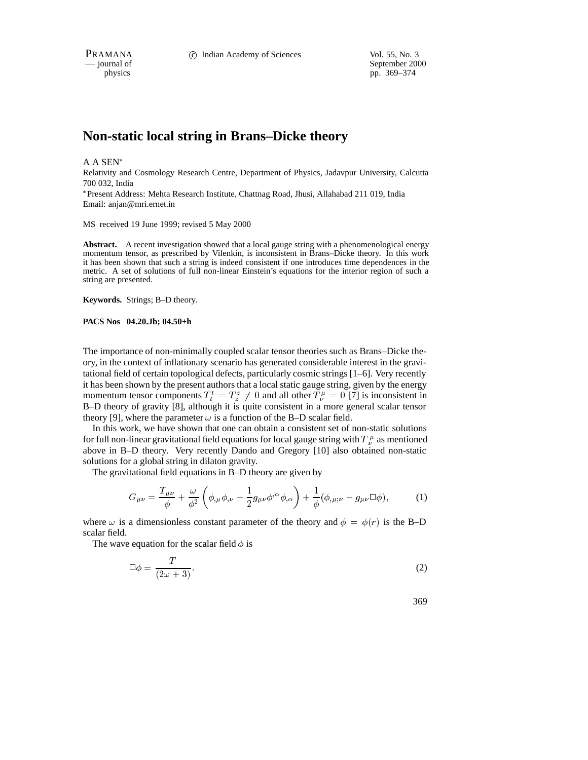physics<br>
a general of September 2000<br>
pp. 369–374<br>
pp. 369–374 pp. 369–374

# **Non-static local string in Brans–Dicke theory**

A A SEN

Relativity and Cosmology Research Centre, Department of Physics, Jadavpur University, Calcutta 700 032, India

 Present Address: Mehta Research Institute, Chattnag Road, Jhusi, Allahabad 211 019, India Email: anjan@mri.ernet.in

MS received 19 June 1999; revised 5 May 2000

**Abstract.** A recent investigation showed that a local gauge string with a phenomenological energy momentum tensor, as prescribed by Vilenkin, is inconsistent in Brans–Dicke theory. In this work it has been shown that such a string is indeed consistent if one introduces time dependences in the metric. A set of solutions of full non-linear Einstein's equations for the interior region of such a string are presented.

**Keywords.** Strings; B–D theory.

**PACS Nos 04.20.Jb; 04.50+h**

The importance of non-minimally coupled scalar tensor theories such as Brans–Dicke theory, in the context of inflationary scenario has generated considerable interest in the gravitational field of certain topological defects, particularly cosmic strings [1–6]. Very recently it has been shown by the present authors that a local static gauge string, given by the energy momentum tensor components  $T_t^t = T_z^z \neq 0$  and all other  $T_{\nu}^{\mu} = 0$  [7] is inconsistent in B–D theory of gravity [8], although it is quite consistent in a more general scalar tensor theory [9], where the parameter  $\omega$  is a function of the B–D scalar field.

In this work, we have shown that one can obtain a consistent set of non-static solutions for full non-linear gravitational field equations for local gauge string with  $T^{\mu}_{\nu}$  as mentioned above in B–D theory. Very recently Dando and Gregory [10] also obtained non-static solutions for a global string in dilaton gravity.

The gravitational field equations in B–D theory are given by

$$
G_{\mu\nu} = \frac{T_{\mu\nu}}{\phi} + \frac{\omega}{\phi^2} \left( \phi_{,\mu} \phi_{,\nu} - \frac{1}{2} g_{\mu\nu} \phi^{,\alpha} \phi_{,\alpha} \right) + \frac{1}{\phi} (\phi_{,\mu;\nu} - g_{\mu\nu} \Box \phi), \tag{1}
$$

where  $\omega$  is a dimensionless constant parameter of the theory and  $\phi = \phi(r)$  is the B–D scalar field.

The wave equation for the scalar field  $\phi$  is

$$
\Box \phi = \frac{T}{(2\omega + 3)}.\tag{2}
$$

369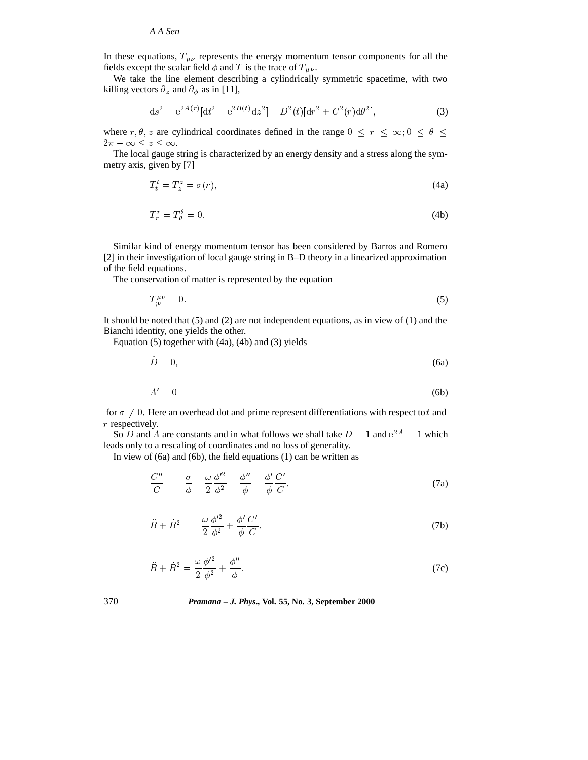*A A Sen*

In these equations,  $T_{\mu\nu}$  represents the energy momentum tensor components for all the fields except the scalar field  $\phi$  and T is the trace of  $T_{\mu\nu}$ .

We take the line element describing a cylindrically symmetric spacetime, with two killing vectors  $\partial_z$  and  $\partial_{\phi}$  as in [11],

$$
ds^{2} = e^{2A(r)}[dt^{2} - e^{2B(t)}dz^{2}] - D^{2}(t)[dr^{2} + C^{2}(r)d\theta^{2}],
$$
\n(3)

where  $r, \theta, z$  are cylindrical coordinates defined in the range  $0 \le r \le \infty$ ;  $0 \le \theta \le$  $2\pi - \infty \leq z \leq \infty$ .

The local gauge string is characterized by an energy density and a stress along the symmetry axis, given by [7]

$$
T_t^t = T_z^z = \sigma(r),\tag{4a}
$$

$$
T_r^r = T_\theta^\theta = 0. \tag{4b}
$$

Similar kind of energy momentum tensor has been considered by Barros and Romero [2] in their investigation of local gauge string in B–D theory in a linearized approximation of the field equations.

The conservation of matter is represented by the equation

$$
T^{\mu\nu}_{:\nu} = 0. \tag{5}
$$

It should be noted that  $(5)$  and  $(2)$  are not independent equations, as in view of  $(1)$  and the Bianchi identity, one yields the other.

Equation (5) together with (4a), (4b) and (3) yields

$$
D = 0,\t\t(6a)
$$

$$
A' = 0 \tag{6b}
$$

for  $\sigma \neq 0$ . Here an overhead dot and prime represent differentiations with respect to t and r respectively.

So D and A are constants and in what follows we shall take  $D = 1$  and  $e^{2A} = 1$  which leads only to a rescaling of coordinates and no loss of generality.

In view of (6a) and (6b), the field equations (1) can be written as

$$
\frac{C''}{C} = -\frac{\sigma}{\phi} - \frac{\omega}{2} \frac{\phi'^2}{\phi^2} - \frac{\phi''}{\phi} - \frac{\phi'}{\phi} \frac{C'}{C},\tag{7a}
$$

$$
\ddot{B} + \dot{B}^2 = -\frac{\omega}{2} \frac{\phi'^2}{\phi^2} + \frac{\phi'}{\phi} \frac{C'}{C},\tag{7b}
$$

$$
\ddot{B} + \dot{B}^2 = \frac{\omega}{2} \frac{\phi'^2}{\phi^2} + \frac{\phi''}{\phi}.
$$
\n(7c)

#### 370 *Pramana – J. Phys.,* **Vol. 55, No. 3, September 2000**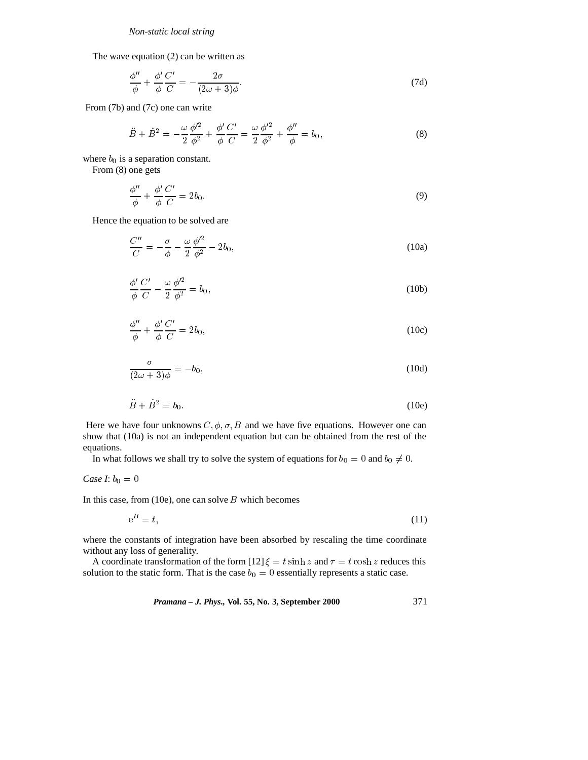The wave equation (2) can be written as

$$
\frac{\phi''}{\phi} + \frac{\phi'}{\phi} \frac{C'}{C} = -\frac{2\sigma}{(2\omega + 3)\phi}.
$$
\n(7d)

From (7b) and (7c) one can write

$$
\ddot{B} + \dot{B}^2 = -\frac{\omega}{2} \frac{\phi'^2}{\phi^2} + \frac{\phi'}{\phi} \frac{C'}{C} = \frac{\omega}{2} \frac{\phi'^2}{\phi^2} + \frac{\phi''}{\phi} = b_0,
$$
\n(8)

where  $b_0$  is a separation constant.

From (8) one gets

$$
\frac{\phi''}{\phi} + \frac{\phi'}{\phi} \frac{C'}{C} = 2b_0.
$$
\n(9)

Hence the equation to be solved are

$$
\frac{C''}{C} = -\frac{\sigma}{\phi} - \frac{\omega}{2} \frac{\phi'^2}{\phi^2} - 2b_0,
$$
\n(10a)

$$
\frac{\phi'}{\phi}\frac{C'}{C} - \frac{\omega}{2}\frac{\phi'^2}{\phi^2} = b_0,\tag{10b}
$$

$$
\frac{\phi''}{\phi} + \frac{\phi'}{\phi} \frac{C'}{C} = 2b_0,\tag{10c}
$$

$$
\frac{\sigma}{(2\omega+3)\phi} = -b_0,\tag{10d}
$$

$$
\ddot{B} + \dot{B}^2 = b_0. \tag{10e}
$$

Here we have four unknowns  $C, \phi, \sigma, B$  and we have five equations. However one can show that (10a) is not an independent equation but can be obtained from the rest of the equations.

In what follows we shall try to solve the system of equations for  $b_0 = 0$  and  $b_0 \neq 0$ .

# *Case I*:  $b_0 = 0$

In this case, from  $(10e)$ , one can solve B which becomes

$$
e^B = t,\tag{11}
$$

where the constants of integration have been absorbed by rescaling the time coordinate without any loss of generality.

A coordinate transformation of the form [12]  $\xi = t \sinh z$  and  $\tau = t \cosh z$  reduces this solution to the static form. That is the case  $b_0 = 0$  essentially represents a static case.

*Pramana – J. Phys.,* **Vol. 55, No. 3, September 2000** 371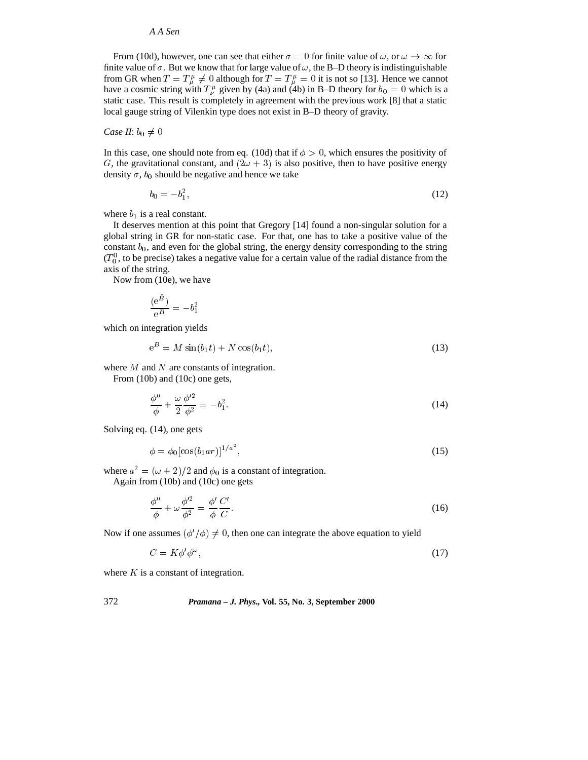## *A A Sen*

From (10d), however, one can see that either  $\sigma = 0$  for finite value of  $\omega$ , or  $\omega \to \infty$  for finite value of  $\sigma$ . But we know that for large value of  $\omega$ , the B–D theory is indistinguishable from GR when  $T = T^{\mu}_{\mu} \neq 0$  although for  $T = T^{\mu}_{\mu} = 0$  it is not so [13]. Hence we cannot have a cosmic string with  $T^{\mu}_{\nu}$  given by (4a) and (4b) in B–D theory for  $b_0 = 0$  which is a static case. This result is completely in agreement with the previous work [8] that a static local gauge string of Vilenkin type does not exist in B–D theory of gravity.

#### *Case II*:  $b_0 \neq 0$

In this case, one should note from eq. (10d) that if  $\phi > 0$ , which ensures the positivity of G, the gravitational constant, and  $(2\omega + 3)$  is also positive, then to have positive energy density  $\sigma$ ,  $b_0$  should be negative and hence we take

$$
b_0 = -b_1^2,\tag{12}
$$

where  $b_1$  is a real constant.

It deserves mention at this point that Gregory [14] found a non-singular solution for a global string in GR for non-static case. For that, one has to take a positive value of the constant  $b_0$ , and even for the global string, the energy density corresponding to the string  $(T_0^0)$ , to be precise) takes a negative value for a certain value of the radial distance from the axis of the string.

Now from (10e), we have

$$
\frac{(\mathrm{e}^{\ddot{B}})}{\mathrm{e}^B} = -b_1^2
$$

which on integration yields

$$
e^B = M\sin(b_1t) + N\cos(b_1t),\tag{13}
$$

where M and N are constants of integration.

From (10b) and (10c) one gets,

$$
\frac{\phi''}{\phi} + \frac{\omega}{2} \frac{\phi'^2}{\phi^2} = -b_1^2. \tag{14}
$$

Solving eq. (14), one gets

$$
\phi = \phi_0 [\cos(b_1 a r)]^{1/a^2},\tag{15}
$$

where  $a^2 = (\omega + 2)/2$  and  $\phi_0$  is a constant of integration.

Again from (10b) and (10c) one gets

$$
\frac{\phi''}{\phi} + \omega \frac{\phi'^2}{\phi^2} = \frac{\phi'}{\phi} \frac{C'}{C}.\tag{16}
$$

Now if one assumes  $(\phi'/\phi) \neq 0$ , then one can integrate the above equation to yield

$$
C = K\phi'\phi^{\omega},\tag{17}
$$

where  $K$  is a constant of integration.

# 372 *Pramana – J. Phys.,* **Vol. 55, No. 3, September 2000**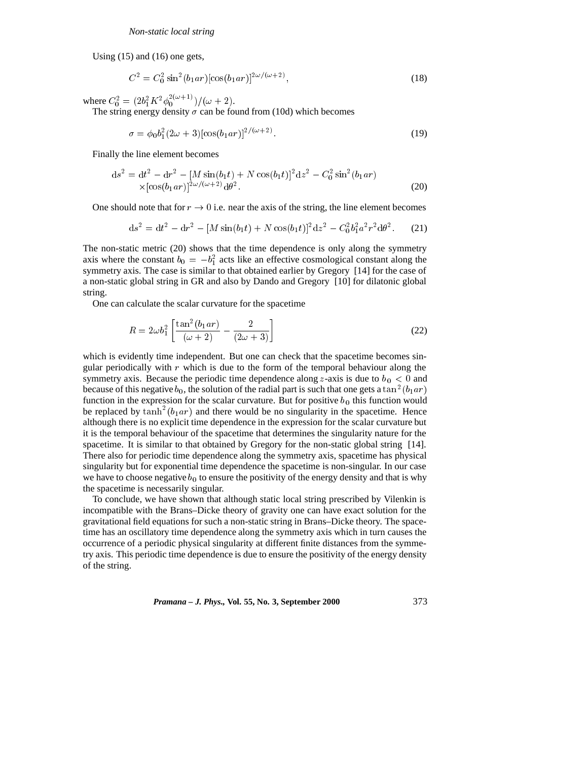Using (15) and (16) one gets,

$$
C^2 = C_0^2 \sin^2(b_1 ar) [\cos(b_1 ar)]^{2\omega/(\omega+2)}, \qquad (18)
$$

where  $C_0^2 = \frac{2b_1^2 K^2 \phi_0^{2(\omega+1)}}{\omega+2}.$ 

The string energy density  $\sigma$  can be found from (10d) which becomes

$$
\sigma = \phi_0 b_1^2 (2\omega + 3) [\cos(b_1 a r)]^{2/(\omega + 2)}.
$$
\n(19)

Finally the line element becomes

$$
ds^{2} = dt^{2} - dr^{2} - [M \sin(b_{1}t) + N \cos(b_{1}t)]^{2} dz^{2} - C_{0}^{2} \sin^{2}(b_{1}ar)
$$
  
×[cos(b<sub>1</sub>ar)]<sup>2</sup> $\omega/(\omega+2)$ d $\theta^{2}$ . (20)

One should note that for  $r \to 0$  i.e. near the axis of the string, the line element becomes

$$
ds^{2} = dt^{2} - dr^{2} - [M \sin(b_{1}t) + N \cos(b_{1}t)]^{2} dz^{2} - C_{0}^{2} b_{1}^{2} a^{2} r^{2} d\theta^{2}.
$$
 (21)

The non-static metric (20) shows that the time dependence is only along the symmetry axis where the constant  $b_0 = -b_1^2$  acts like an effective cosmological constant along the symmetry axis. The case is similar to that obtained earlier by Gregory [14] for the case of a non-static global string in GR and also by Dando and Gregory [10] for dilatonic global string.

One can calculate the scalar curvature for the spacetime

$$
R = 2\omega b_1^2 \left[ \frac{\tan^2(b_1 a r)}{(\omega + 2)} - \frac{2}{(2\omega + 3)} \right]
$$
 (22)

which is evidently time independent. But one can check that the spacetime becomes singular periodically with  $r$  which is due to the form of the temporal behaviour along the symmetry axis. Because the periodic time dependence along z-axis is due to  $b<sub>0</sub> < 0$  and because of this negative  $b_0$ , the solution of the radial part is such that one gets a tan<sup>2</sup> $(b_1ar)$ function in the expression for the scalar curvature. But for positive  $b_0$  this function would be replaced by  $\tanh^2(b_1ar)$  and there would be no singularity in the spacetime. Hence although there is no explicit time dependence in the expression for the scalar curvature but it is the temporal behaviour of the spacetime that determines the singularity nature for the spacetime. It is similar to that obtained by Gregory for the non-static global string [14]. There also for periodic time dependence along the symmetry axis, spacetime has physical singularity but for exponential time dependence the spacetime is non-singular. In our case we have to choose negative  $b_0$  to ensure the positivity of the energy density and that is why the spacetime is necessarily singular.

To conclude, we have shown that although static local string prescribed by Vilenkin is incompatible with the Brans–Dicke theory of gravity one can have exact solution for the gravitational field equations for such a non-static string in Brans–Dicke theory. The spacetime has an oscillatory time dependence along the symmetry axis which in turn causes the occurrence of a periodic physical singularity at different finite distances from the symmetry axis. This periodic time dependence is due to ensure the positivity of the energy density of the string.

*Pramana – J. Phys.,* **Vol. 55, No. 3, September 2000** 373